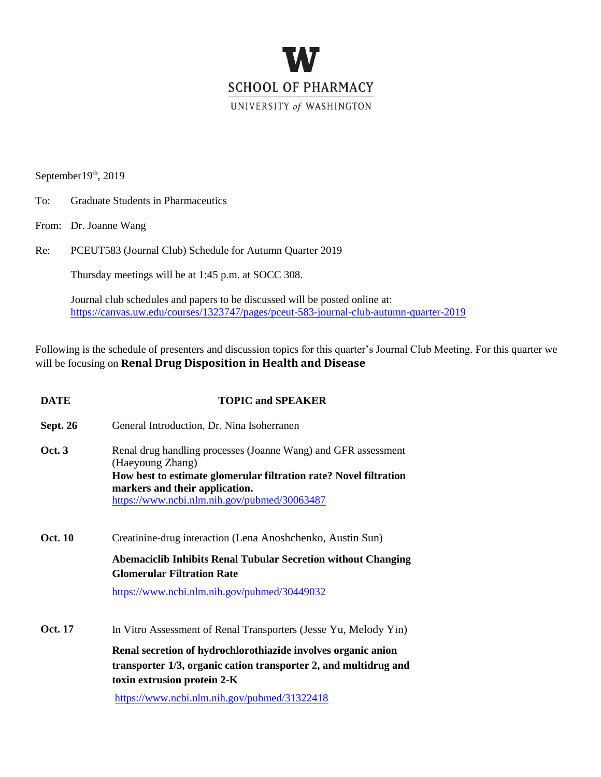

 $September19<sup>th</sup>, 2019$ 

- To: Graduate Students in Pharmaceutics
- From: Dr. Joanne Wang

Re: PCEUT583 (Journal Club) Schedule for Autumn Quarter 2019

Thursday meetings will be at 1:45 p.m. at SOCC 308.  $\mathcal{L}$ 

Journal club schedules and papers to be discussed will be posted online at: <https://canvas.uw.edu/courses/1323747/pages/pceut-583-journal-club-autumn-quarter-2019>

Following is the schedule of presenters and discussion topics for this quarter's Journal Club Meeting. For this quarter we will be focusing on **Renal Drug Disposition in Health and Disease** 

| <b>DATE</b>     | <b>TOPIC and SPEAKER</b>                                                                                                                                                                                                                                                             |
|-----------------|--------------------------------------------------------------------------------------------------------------------------------------------------------------------------------------------------------------------------------------------------------------------------------------|
| <b>Sept. 26</b> | General Introduction, Dr. Nina Isoherranen                                                                                                                                                                                                                                           |
| Oct.3           | Renal drug handling processes (Joanne Wang) and GFR assessment<br>(Haeyoung Zhang)<br>How best to estimate glomerular filtration rate? Novel filtration<br>markers and their application.<br>https://www.ncbi.nlm.nih.gov/pubmed/30063487                                            |
| <b>Oct. 10</b>  | Creatinine-drug interaction (Lena Anoshchenko, Austin Sun)<br><b>Abemaciclib Inhibits Renal Tubular Secretion without Changing</b><br><b>Glomerular Filtration Rate</b><br>https://www.ncbi.nlm.nih.gov/pubmed/30449032                                                              |
| Oct. 17         | In Vitro Assessment of Renal Transporters (Jesse Yu, Melody Yin)<br>Renal secretion of hydrochlorothiazide involves organic anion<br>transporter 1/3, organic cation transporter 2, and multidrug and<br>toxin extrusion protein 2-K<br>https://www.ncbi.nlm.nih.gov/pubmed/31322418 |